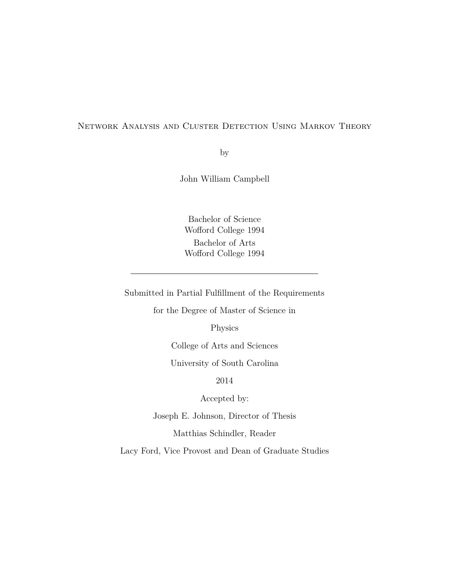#### Network Analysis and Cluster Detection Using Markov Theory

by

John William Campbell

Bachelor of Science Wofford College 1994 Bachelor of Arts Wofford College 1994

Submitted in Partial Fulfillment of the Requirements

for the Degree of Master of Science in

Physics

College of Arts and Sciences

University of South Carolina

2014

Accepted by:

Joseph E. Johnson, Director of Thesis

Matthias Schindler, Reader

Lacy Ford, Vice Provost and Dean of Graduate Studies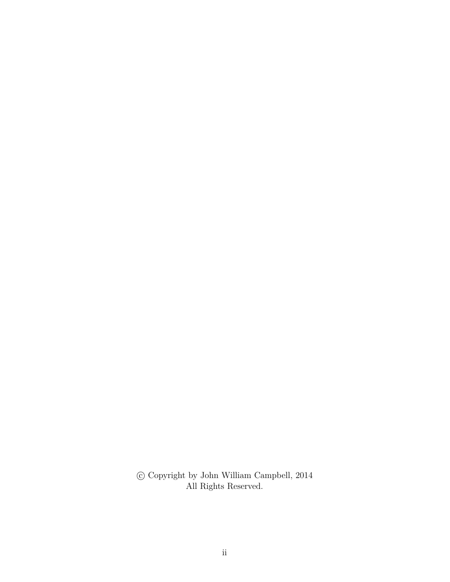$\copyright$  Copyright by John William Campbell, 2014 All Rights Reserved.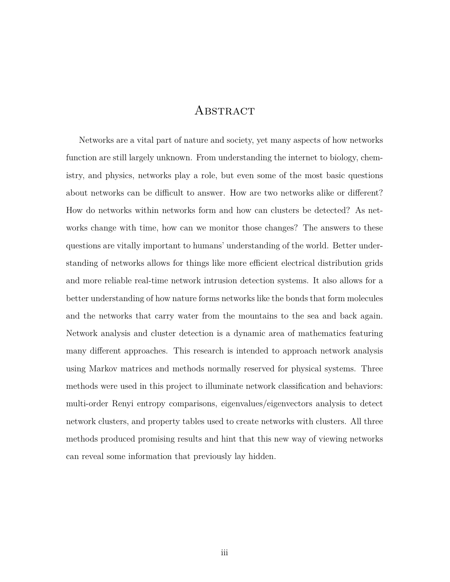#### **ABSTRACT**

Networks are a vital part of nature and society, yet many aspects of how networks function are still largely unknown. From understanding the internet to biology, chemistry, and physics, networks play a role, but even some of the most basic questions about networks can be difficult to answer. How are two networks alike or different? How do networks within networks form and how can clusters be detected? As networks change with time, how can we monitor those changes? The answers to these questions are vitally important to humans' understanding of the world. Better understanding of networks allows for things like more efficient electrical distribution grids and more reliable real-time network intrusion detection systems. It also allows for a better understanding of how nature forms networks like the bonds that form molecules and the networks that carry water from the mountains to the sea and back again. Network analysis and cluster detection is a dynamic area of mathematics featuring many different approaches. This research is intended to approach network analysis using Markov matrices and methods normally reserved for physical systems. Three methods were used in this project to illuminate network classification and behaviors: multi-order Renyi entropy comparisons, eigenvalues/eigenvectors analysis to detect network clusters, and property tables used to create networks with clusters. All three methods produced promising results and hint that this new way of viewing networks can reveal some information that previously lay hidden.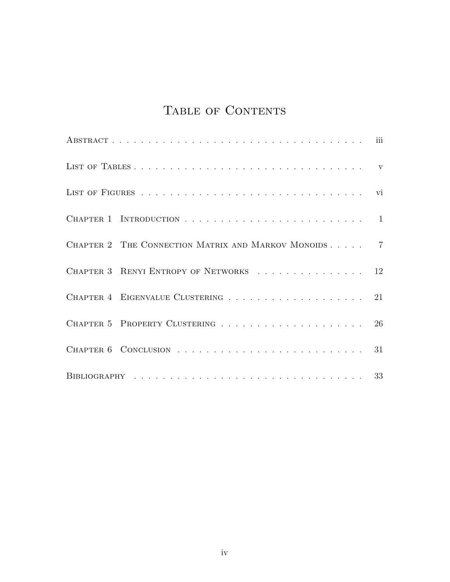# TABLE OF CONTENTS

| CHAPTER 2 THE CONNECTION MATRIX AND MARKOV MONOIDS 7 |  |
|------------------------------------------------------|--|
| CHAPTER 3 RENYI ENTROPY OF NETWORKS 12               |  |
| CHAPTER 4 EIGENVALUE CLUSTERING 21                   |  |
|                                                      |  |
|                                                      |  |
|                                                      |  |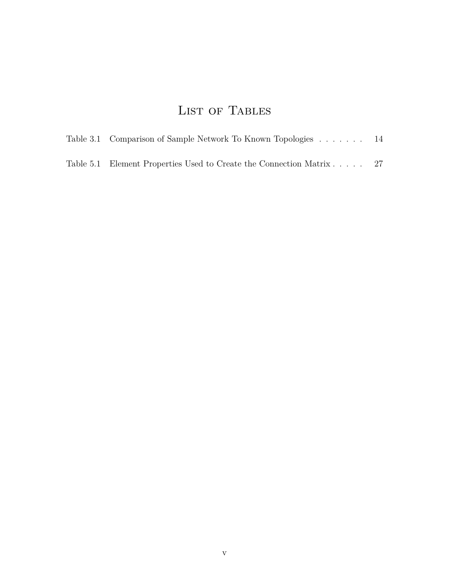# LIST OF TABLES

| Table 3.1 Comparison of Sample Network To Known Topologies           | -14 |
|----------------------------------------------------------------------|-----|
| Table 5.1 Element Properties Used to Create the Connection Matrix 27 |     |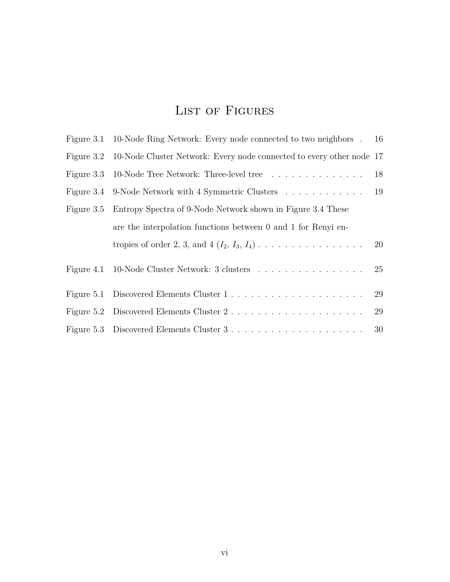## LIST OF FIGURES

| Figure 3.1 10-Node Ring Network: Every node connected to two neighbors . 16        |    |
|------------------------------------------------------------------------------------|----|
| Figure 3.2 10-Node Cluster Network: Every node connected to every other node 17    |    |
| Figure 3.3 10-Node Tree Network: Three-level tree                                  | 18 |
| Figure 3.4 9-Node Network with 4 Symmetric Clusters 19                             |    |
| Figure 3.5 Entropy Spectra of 9-Node Network shown in Figure 3.4 These             |    |
| are the interpolation functions between 0 and 1 for Renyi en-                      |    |
|                                                                                    |    |
| Figure 4.1 10-Node Cluster Network: 3 clusters                                     | 25 |
| Figure 5.1 Discovered Elements Cluster $1, \ldots, \ldots, \ldots, \ldots, \ldots$ | 29 |
|                                                                                    | 29 |
|                                                                                    |    |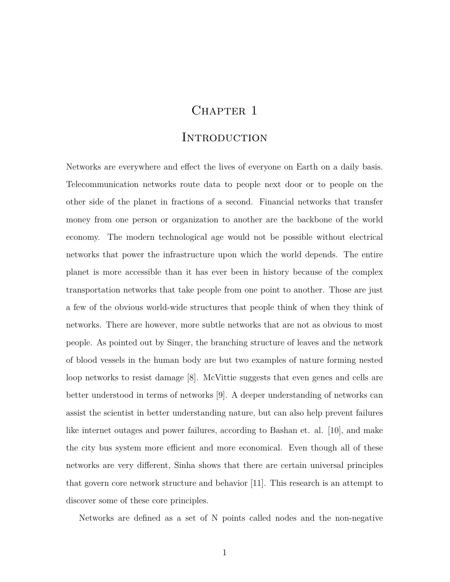## CHAPTER 1

#### **INTRODUCTION**

Networks are everywhere and effect the lives of everyone on Earth on a daily basis. Telecommunication networks route data to people next door or to people on the other side of the planet in fractions of a second. Financial networks that transfer money from one person or organization to another are the backbone of the world economy. The modern technological age would not be possible without electrical networks that power the infrastructure upon which the world depends. The entire planet is more accessible than it has ever been in history because of the complex transportation networks that take people from one point to another. Those are just a few of the obvious world-wide structures that people think of when they think of networks. There are however, more subtle networks that are not as obvious to most people. As pointed out by Singer, the branching structure of leaves and the network of blood vessels in the human body are but two examples of nature forming nested loop networks to resist damage [8]. McVittie suggests that even genes and cells are better understood in terms of networks [9]. A deeper understanding of networks can assist the scientist in better understanding nature, but can also help prevent failures like internet outages and power failures, according to Bashan et. al. [10], and make the city bus system more efficient and more economical. Even though all of these networks are very different, Sinha shows that there are certain universal principles that govern core network structure and behavior [11]. This research is an attempt to discover some of these core principles.

Networks are defined as a set of N points called nodes and the non-negative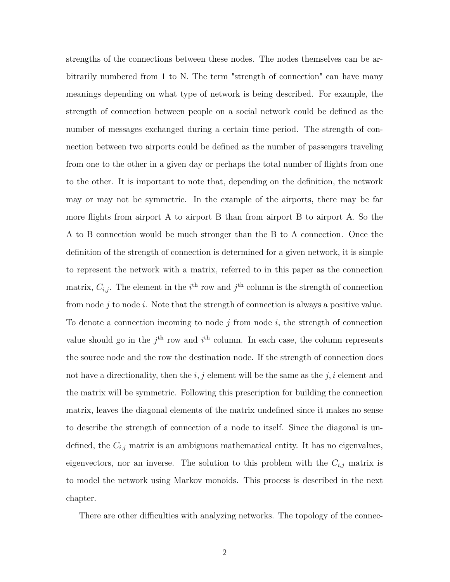strengths of the connections between these nodes. The nodes themselves can be arbitrarily numbered from 1 to N. The term "strength of connection" can have many meanings depending on what type of network is being described. For example, the strength of connection between people on a social network could be defined as the number of messages exchanged during a certain time period. The strength of connection between two airports could be defined as the number of passengers traveling from one to the other in a given day or perhaps the total number of flights from one to the other. It is important to note that, depending on the definition, the network may or may not be symmetric. In the example of the airports, there may be far more flights from airport A to airport B than from airport B to airport A. So the A to B connection would be much stronger than the B to A connection. Once the definition of the strength of connection is determined for a given network, it is simple to represent the network with a matrix, referred to in this paper as the connection matrix,  $C_{i,j}$ . The element in the *i*<sup>th</sup> row and *j*<sup>th</sup> column is the strength of connection from node *j* to node *i*. Note that the strength of connection is always a positive value. To denote a connection incoming to node *j* from node *i*, the strength of connection value should go in the  $j<sup>th</sup>$  row and  $i<sup>th</sup>$  column. In each case, the column represents the source node and the row the destination node. If the strength of connection does not have a directionality, then the *i, j* element will be the same as the *j, i* element and the matrix will be symmetric. Following this prescription for building the connection matrix, leaves the diagonal elements of the matrix undefined since it makes no sense to describe the strength of connection of a node to itself. Since the diagonal is undefined, the  $C_{i,j}$  matrix is an ambiguous mathematical entity. It has no eigenvalues, eigenvectors, nor an inverse. The solution to this problem with the  $C_{i,j}$  matrix is to model the network using Markov monoids. This process is described in the next chapter.

There are other difficulties with analyzing networks. The topology of the connec-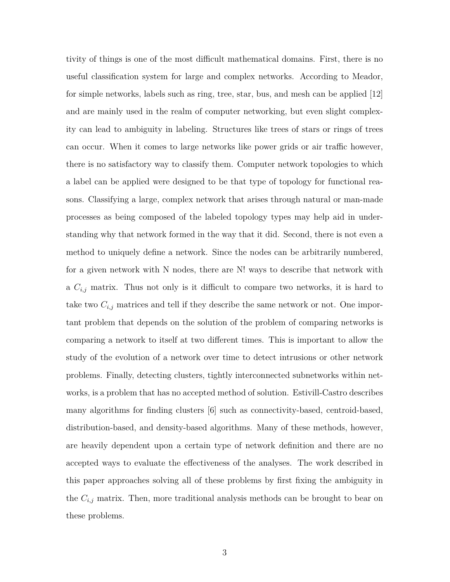tivity of things is one of the most difficult mathematical domains. First, there is no useful classification system for large and complex networks. According to Meador, for simple networks, labels such as ring, tree, star, bus, and mesh can be applied [12] and are mainly used in the realm of computer networking, but even slight complexity can lead to ambiguity in labeling. Structures like trees of stars or rings of trees can occur. When it comes to large networks like power grids or air traffic however, there is no satisfactory way to classify them. Computer network topologies to which a label can be applied were designed to be that type of topology for functional reasons. Classifying a large, complex network that arises through natural or man-made processes as being composed of the labeled topology types may help aid in understanding why that network formed in the way that it did. Second, there is not even a method to uniquely define a network. Since the nodes can be arbitrarily numbered, for a given network with N nodes, there are N! ways to describe that network with a *Ci,j* matrix. Thus not only is it difficult to compare two networks, it is hard to take two *Ci,j* matrices and tell if they describe the same network or not. One important problem that depends on the solution of the problem of comparing networks is comparing a network to itself at two different times. This is important to allow the study of the evolution of a network over time to detect intrusions or other network problems. Finally, detecting clusters, tightly interconnected subnetworks within networks, is a problem that has no accepted method of solution. Estivill-Castro describes many algorithms for finding clusters [6] such as connectivity-based, centroid-based, distribution-based, and density-based algorithms. Many of these methods, however, are heavily dependent upon a certain type of network definition and there are no accepted ways to evaluate the effectiveness of the analyses. The work described in this paper approaches solving all of these problems by first fixing the ambiguity in the *Ci,j* matrix. Then, more traditional analysis methods can be brought to bear on these problems.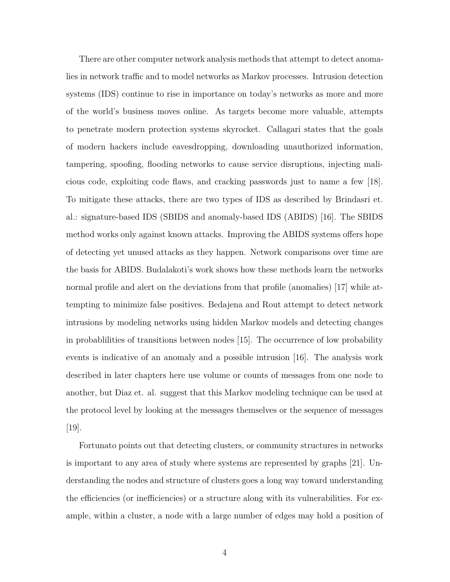There are other computer network analysis methods that attempt to detect anomalies in network traffic and to model networks as Markov processes. Intrusion detection systems (IDS) continue to rise in importance on today's networks as more and more of the world's business moves online. As targets become more valuable, attempts to penetrate modern protection systems skyrocket. Callagari states that the goals of modern hackers include eavesdropping, downloading unauthorized information, tampering, spoofing, flooding networks to cause service disruptions, injecting malicious code, exploiting code flaws, and cracking passwords just to name a few [18]. To mitigate these attacks, there are two types of IDS as described by Brindasri et. al.: signature-based IDS (SBIDS and anomaly-based IDS (ABIDS) [16]. The SBIDS method works only against known attacks. Improving the ABIDS systems offers hope of detecting yet unused attacks as they happen. Network comparisons over time are the basis for ABIDS. Budalakoti's work shows how these methods learn the networks normal profile and alert on the deviations from that profile (anomalies) [17] while attempting to minimize false positives. Bedajena and Rout attempt to detect network intrusions by modeling networks using hidden Markov models and detecting changes in probablilities of transitions between nodes [15]. The occurrence of low probability events is indicative of an anomaly and a possible intrusion [16]. The analysis work described in later chapters here use volume or counts of messages from one node to another, but Diaz et. al. suggest that this Markov modeling technique can be used at the protocol level by looking at the messages themselves or the sequence of messages [19].

Fortunato points out that detecting clusters, or community structures in networks is important to any area of study where systems are represented by graphs [21]. Understanding the nodes and structure of clusters goes a long way toward understanding the efficiencies (or inefficiencies) or a structure along with its vulnerabilities. For example, within a cluster, a node with a large number of edges may hold a position of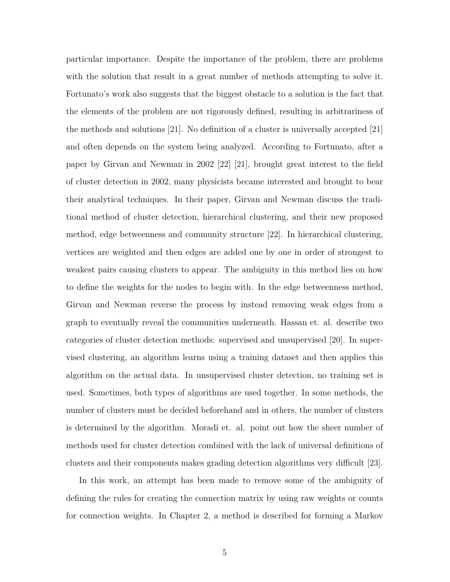particular importance. Despite the importance of the problem, there are problems with the solution that result in a great number of methods attempting to solve it. Fortunato's work also suggests that the biggest obstacle to a solution is the fact that the elements of the problem are not rigorously defined, resulting in arbitrariness of the methods and solutions [21]. No definition of a cluster is universally accepted [21] and often depends on the system being analyzed. According to Fortunato, after a paper by Girvan and Newman in 2002 [22] [21], brought great interest to the field of cluster detection in 2002, many physicists became interested and brought to bear their analytical techniques. In their paper, Girvan and Newman discuss the traditional method of cluster detection, hierarchical clustering, and their new proposed method, edge betweenness and community structure [22]. In hierarchical clustering, vertices are weighted and then edges are added one by one in order of strongest to weakest pairs causing clusters to appear. The ambiguity in this method lies on how to define the weights for the nodes to begin with. In the edge betweenness method, Girvan and Newman reverse the process by instead removing weak edges from a graph to eventually reveal the communities underneath. Hassan et. al. describe two categories of cluster detection methods: supervised and unsupervised [20]. In supervised clustering, an algorithm learns using a training dataset and then applies this algorithm on the actual data. In unsupervised cluster detection, no training set is used. Sometimes, both types of algorithms are used together. In some methods, the number of clusters must be decided beforehand and in others, the number of clusters is determined by the algorithm. Moradi et. al. point out how the sheer number of methods used for cluster detection combined with the lack of universal definitions of clusters and their components makes grading detection algorithms very difficult [23].

In this work, an attempt has been made to remove some of the ambiguity of defining the rules for creating the connection matrix by using raw weights or counts for connection weights. In Chapter 2, a method is described for forming a Markov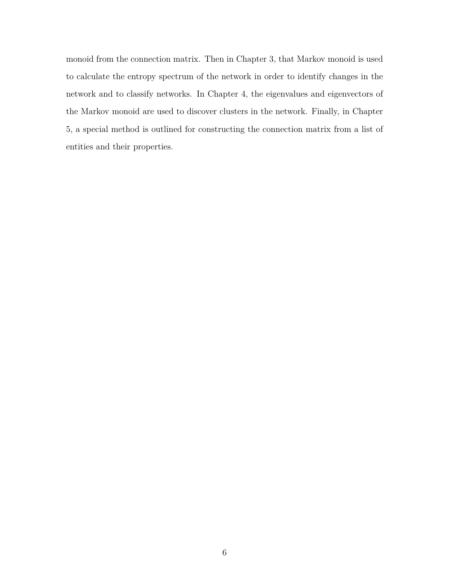monoid from the connection matrix. Then in Chapter 3, that Markov monoid is used to calculate the entropy spectrum of the network in order to identify changes in the network and to classify networks. In Chapter 4, the eigenvalues and eigenvectors of the Markov monoid are used to discover clusters in the network. Finally, in Chapter 5, a special method is outlined for constructing the connection matrix from a list of entities and their properties.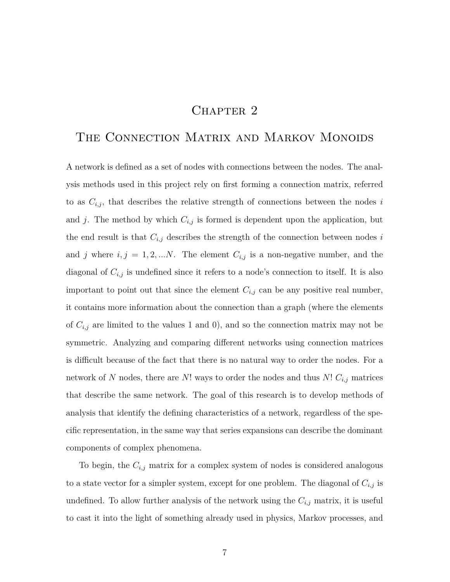## CHAPTER<sub>2</sub>

## THE CONNECTION MATRIX AND MARKOV MONOIDS

A network is defined as a set of nodes with connections between the nodes. The analysis methods used in this project rely on first forming a connection matrix, referred to as  $C_{i,j}$ , that describes the relative strength of connections between the nodes  $i$ and *j*. The method by which  $C_{i,j}$  is formed is dependent upon the application, but the end result is that  $C_{i,j}$  describes the strength of the connection between nodes  $i$ and *j* where  $i, j = 1, 2, \ldots N$ . The element  $C_{i,j}$  is a non-negative number, and the diagonal of *Ci,j* is undefined since it refers to a node's connection to itself. It is also important to point out that since the element  $C_{i,j}$  can be any positive real number, it contains more information about the connection than a graph (where the elements of  $C_{i,j}$  are limited to the values 1 and 0), and so the connection matrix may not be symmetric. Analyzing and comparing different networks using connection matrices is difficult because of the fact that there is no natural way to order the nodes. For a network of *N* nodes, there are *N*! ways to order the nodes and thus *N*! *Ci,j* matrices that describe the same network. The goal of this research is to develop methods of analysis that identify the defining characteristics of a network, regardless of the specific representation, in the same way that series expansions can describe the dominant components of complex phenomena.

To begin, the  $C_{i,j}$  matrix for a complex system of nodes is considered analogous to a state vector for a simpler system, except for one problem. The diagonal of  $C_{i,j}$  is undefined. To allow further analysis of the network using the  $C_{i,j}$  matrix, it is useful to cast it into the light of something already used in physics, Markov processes, and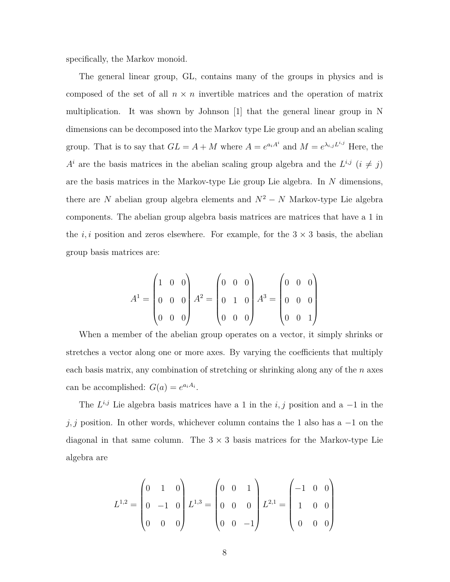specifically, the Markov monoid.

The general linear group, GL, contains many of the groups in physics and is composed of the set of all  $n \times n$  invertible matrices and the operation of matrix multiplication. It was shown by Johnson [1] that the general linear group in N dimensions can be decomposed into the Markov type Lie group and an abelian scaling group. That is to say that  $GL = A + M$  where  $A = e^{a_i A^i}$  and  $M = e^{\lambda_{i,j} L^{i,j}}$  Here, the  $A^i$  are the basis matrices in the abelian scaling group algebra and the  $L^{i,j}$  ( $i \neq j$ ) are the basis matrices in the Markov-type Lie group Lie algebra. In *N* dimensions, there are *N* abelian group algebra elements and  $N^2 - N$  Markov-type Lie algebra components. The abelian group algebra basis matrices are matrices that have a 1 in the  $i, i$  position and zeros elsewhere. For example, for the  $3 \times 3$  basis, the abelian group basis matrices are:

$$
A^{1} = \begin{pmatrix} 1 & 0 & 0 \\ 0 & 0 & 0 \\ 0 & 0 & 0 \end{pmatrix} A^{2} = \begin{pmatrix} 0 & 0 & 0 \\ 0 & 1 & 0 \\ 0 & 0 & 0 \end{pmatrix} A^{3} = \begin{pmatrix} 0 & 0 & 0 \\ 0 & 0 & 0 \\ 0 & 0 & 1 \end{pmatrix}
$$

When a member of the abelian group operates on a vector, it simply shrinks or stretches a vector along one or more axes. By varying the coefficients that multiply each basis matrix, any combination of stretching or shrinking along any of the *n* axes can be accomplished:  $G(a) = e^{a_i A_i}$ .

The  $L^{i,j}$  Lie algebra basis matrices have a 1 in the *i, j* position and a  $-1$  in the *j, j* position. In other words, whichever column contains the 1 also has a −1 on the diagonal in that same column. The  $3 \times 3$  basis matrices for the Markov-type Lie algebra are

$$
L^{1,2} = \begin{pmatrix} 0 & 1 & 0 \\ 0 & -1 & 0 \\ 0 & 0 & 0 \end{pmatrix} L^{1,3} = \begin{pmatrix} 0 & 0 & 1 \\ 0 & 0 & 0 \\ 0 & 0 & -1 \end{pmatrix} L^{2,1} = \begin{pmatrix} -1 & 0 & 0 \\ 1 & 0 & 0 \\ 0 & 0 & 0 \end{pmatrix}
$$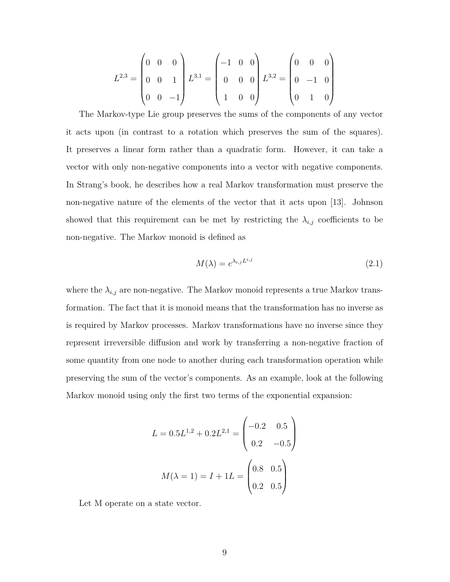$$
L^{2,3} = \begin{pmatrix} 0 & 0 & 0 \\ 0 & 0 & 1 \\ 0 & 0 & -1 \end{pmatrix} L^{3,1} = \begin{pmatrix} -1 & 0 & 0 \\ 0 & 0 & 0 \\ 1 & 0 & 0 \end{pmatrix} L^{3,2} = \begin{pmatrix} 0 & 0 & 0 \\ 0 & -1 & 0 \\ 0 & 1 & 0 \end{pmatrix}
$$

The Markov-type Lie group preserves the sums of the components of any vector it acts upon (in contrast to a rotation which preserves the sum of the squares). It preserves a linear form rather than a quadratic form. However, it can take a vector with only non-negative components into a vector with negative components. In Strang's book, he describes how a real Markov transformation must preserve the non-negative nature of the elements of the vector that it acts upon [13]. Johnson showed that this requirement can be met by restricting the  $\lambda_{i,j}$  coefficients to be non-negative. The Markov monoid is defined as

$$
M(\lambda) = e^{\lambda_{i,j} L^{i,j}} \tag{2.1}
$$

where the  $\lambda_{i,j}$  are non-negative. The Markov monoid represents a true Markov transformation. The fact that it is monoid means that the transformation has no inverse as is required by Markov processes. Markov transformations have no inverse since they represent irreversible diffusion and work by transferring a non-negative fraction of some quantity from one node to another during each transformation operation while preserving the sum of the vector's components. As an example, look at the following Markov monoid using only the first two terms of the exponential expansion:

$$
L = 0.5L^{1,2} + 0.2L^{2,1} = \begin{pmatrix} -0.2 & 0.5\\ 0.2 & -0.5 \end{pmatrix}
$$

$$
M(\lambda = 1) = I + 1L = \begin{pmatrix} 0.8 & 0.5\\ 0.2 & 0.5 \end{pmatrix}
$$

Let M operate on a state vector.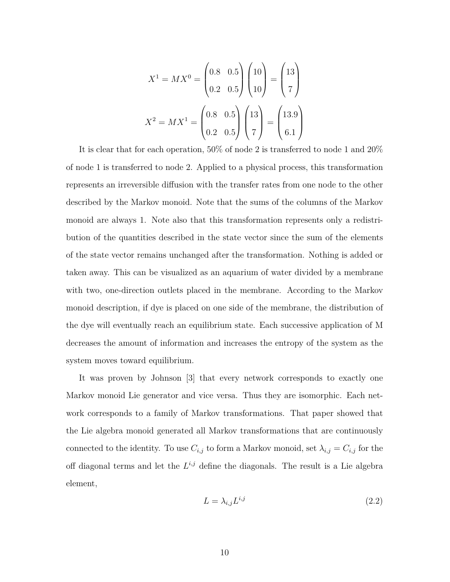$$
X^{1} = MX^{0} = \begin{pmatrix} 0.8 & 0.5 \\ 0.2 & 0.5 \end{pmatrix} \begin{pmatrix} 10 \\ 10 \end{pmatrix} = \begin{pmatrix} 13 \\ 7 \end{pmatrix}
$$

$$
X^{2} = MX^{1} = \begin{pmatrix} 0.8 & 0.5 \\ 0.2 & 0.5 \end{pmatrix} \begin{pmatrix} 13 \\ 7 \end{pmatrix} = \begin{pmatrix} 13.9 \\ 6.1 \end{pmatrix}
$$

It is clear that for each operation, 50% of node 2 is transferred to node 1 and 20% of node 1 is transferred to node 2. Applied to a physical process, this transformation represents an irreversible diffusion with the transfer rates from one node to the other described by the Markov monoid. Note that the sums of the columns of the Markov monoid are always 1. Note also that this transformation represents only a redistribution of the quantities described in the state vector since the sum of the elements of the state vector remains unchanged after the transformation. Nothing is added or taken away. This can be visualized as an aquarium of water divided by a membrane with two, one-direction outlets placed in the membrane. According to the Markov monoid description, if dye is placed on one side of the membrane, the distribution of the dye will eventually reach an equilibrium state. Each successive application of M decreases the amount of information and increases the entropy of the system as the system moves toward equilibrium.

It was proven by Johnson [3] that every network corresponds to exactly one Markov monoid Lie generator and vice versa. Thus they are isomorphic. Each network corresponds to a family of Markov transformations. That paper showed that the Lie algebra monoid generated all Markov transformations that are continuously connected to the identity. To use  $C_{i,j}$  to form a Markov monoid, set  $\lambda_{i,j} = C_{i,j}$  for the off diagonal terms and let the  $L^{i,j}$  define the diagonals. The result is a Lie algebra element,

$$
L = \lambda_{i,j} L^{i,j} \tag{2.2}
$$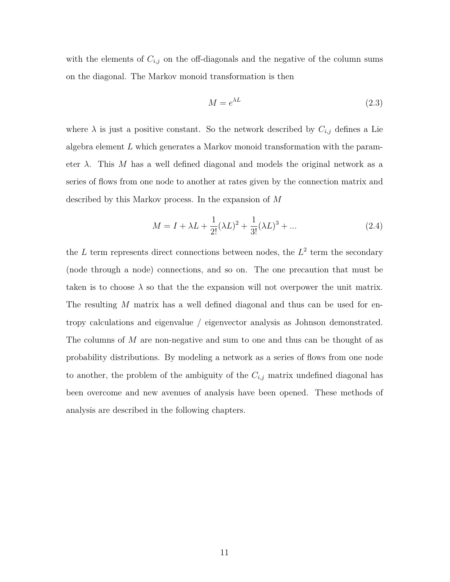with the elements of  $C_{i,j}$  on the off-diagonals and the negative of the column sums on the diagonal. The Markov monoid transformation is then

$$
M = e^{\lambda L} \tag{2.3}
$$

where  $\lambda$  is just a positive constant. So the network described by  $C_{i,j}$  defines a Lie algebra element *L* which generates a Markov monoid transformation with the parameter *λ*. This *M* has a well defined diagonal and models the original network as a series of flows from one node to another at rates given by the connection matrix and described by this Markov process. In the expansion of *M*

$$
M = I + \lambda L + \frac{1}{2!} (\lambda L)^2 + \frac{1}{3!} (\lambda L)^3 + \dots
$$
 (2.4)

the  $L$  term represents direct connections between nodes, the  $L^2$  term the secondary (node through a node) connections, and so on. The one precaution that must be taken is to choose  $\lambda$  so that the the expansion will not overpower the unit matrix. The resulting *M* matrix has a well defined diagonal and thus can be used for entropy calculations and eigenvalue / eigenvector analysis as Johnson demonstrated. The columns of *M* are non-negative and sum to one and thus can be thought of as probability distributions. By modeling a network as a series of flows from one node to another, the problem of the ambiguity of the  $C_{i,j}$  matrix undefined diagonal has been overcome and new avenues of analysis have been opened. These methods of analysis are described in the following chapters.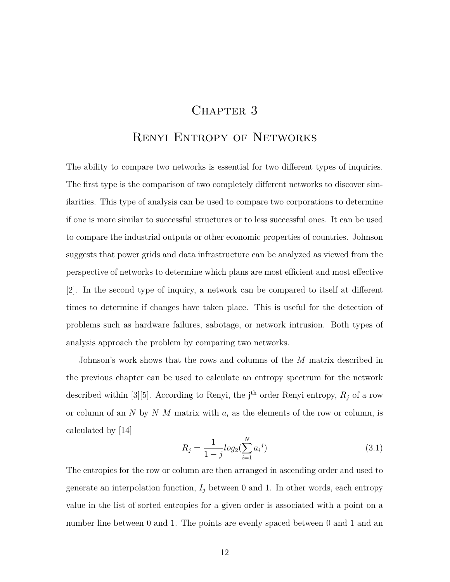#### CHAPTER 3

#### Renyi Entropy of Networks

The ability to compare two networks is essential for two different types of inquiries. The first type is the comparison of two completely different networks to discover similarities. This type of analysis can be used to compare two corporations to determine if one is more similar to successful structures or to less successful ones. It can be used to compare the industrial outputs or other economic properties of countries. Johnson suggests that power grids and data infrastructure can be analyzed as viewed from the perspective of networks to determine which plans are most efficient and most effective [2]. In the second type of inquiry, a network can be compared to itself at different times to determine if changes have taken place. This is useful for the detection of problems such as hardware failures, sabotage, or network intrusion. Both types of analysis approach the problem by comparing two networks.

Johnson's work shows that the rows and columns of the *M* matrix described in the previous chapter can be used to calculate an entropy spectrum for the network described within [3][5]. According to Renyi, the j<sup>th</sup> order Renyi entropy,  $R_j$  of a row or column of an *N* by *N M* matrix with *a<sup>i</sup>* as the elements of the row or column, is calculated by [14]

$$
R_j = \frac{1}{1-j} log_2(\sum_{i=1}^{N} a_i^j)
$$
\n(3.1)

The entropies for the row or column are then arranged in ascending order and used to generate an interpolation function,  $I_j$  between 0 and 1. In other words, each entropy value in the list of sorted entropies for a given order is associated with a point on a number line between 0 and 1. The points are evenly spaced between 0 and 1 and an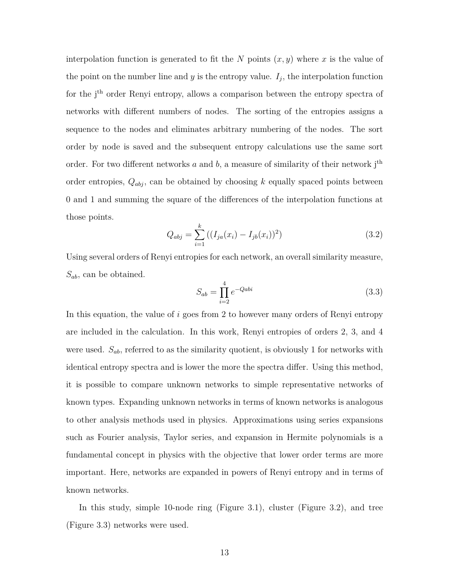interpolation function is generated to fit the *N* points  $(x, y)$  where *x* is the value of the point on the number line and  $y$  is the entropy value.  $I_j$ , the interpolation function for the j<sup>th</sup> order Renyi entropy, allows a comparison between the entropy spectra of networks with different numbers of nodes. The sorting of the entropies assigns a sequence to the nodes and eliminates arbitrary numbering of the nodes. The sort order by node is saved and the subsequent entropy calculations use the same sort order. For two different networks  $a$  and  $b$ , a measure of similarity of their network  $i<sup>th</sup>$ order entropies,  $Q_{abj}$ , can be obtained by choosing  $k$  equally spaced points between 0 and 1 and summing the square of the differences of the interpolation functions at those points.

$$
Q_{abj} = \sum_{i=1}^{k} \left( (I_{ja}(x_i) - I_{jb}(x_i))^2 \right) \tag{3.2}
$$

Using several orders of Renyi entropies for each network, an overall similarity measure, *Sab*, can be obtained.

$$
S_{ab} = \prod_{i=2}^{4} e^{-Qabi} \tag{3.3}
$$

In this equation, the value of *i* goes from 2 to however many orders of Renyi entropy are included in the calculation. In this work, Renyi entropies of orders 2, 3, and 4 were used. *Sab*, referred to as the similarity quotient, is obviously 1 for networks with identical entropy spectra and is lower the more the spectra differ. Using this method, it is possible to compare unknown networks to simple representative networks of known types. Expanding unknown networks in terms of known networks is analogous to other analysis methods used in physics. Approximations using series expansions such as Fourier analysis, Taylor series, and expansion in Hermite polynomials is a fundamental concept in physics with the objective that lower order terms are more important. Here, networks are expanded in powers of Renyi entropy and in terms of known networks.

In this study, simple 10-node ring (Figure 3.1), cluster (Figure 3.2), and tree (Figure 3.3) networks were used.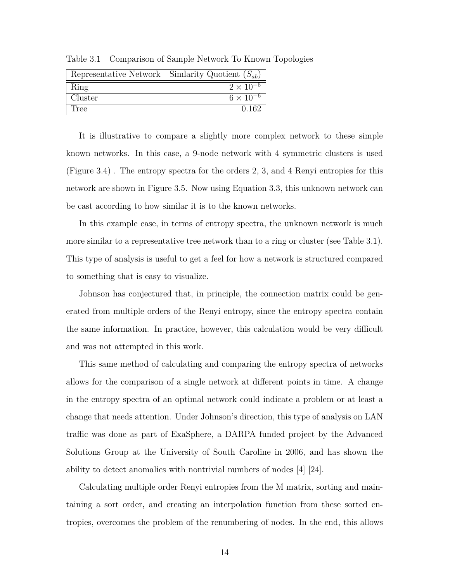|         | Representative Network   Simlarity Quotient $(S_{ab})$ |
|---------|--------------------------------------------------------|
| Ring    | $2 \times 10^{-5}$                                     |
| Cluster | $6 \times 10^{-6}$                                     |
| Tree    | በ 162                                                  |

Table 3.1 Comparison of Sample Network To Known Topologies

It is illustrative to compare a slightly more complex network to these simple known networks. In this case, a 9-node network with 4 symmetric clusters is used (Figure 3.4) . The entropy spectra for the orders 2, 3, and 4 Renyi entropies for this network are shown in Figure 3.5. Now using Equation 3.3, this unknown network can be cast according to how similar it is to the known networks.

In this example case, in terms of entropy spectra, the unknown network is much more similar to a representative tree network than to a ring or cluster (see Table 3.1). This type of analysis is useful to get a feel for how a network is structured compared to something that is easy to visualize.

Johnson has conjectured that, in principle, the connection matrix could be generated from multiple orders of the Renyi entropy, since the entropy spectra contain the same information. In practice, however, this calculation would be very difficult and was not attempted in this work.

This same method of calculating and comparing the entropy spectra of networks allows for the comparison of a single network at different points in time. A change in the entropy spectra of an optimal network could indicate a problem or at least a change that needs attention. Under Johnson's direction, this type of analysis on LAN traffic was done as part of ExaSphere, a DARPA funded project by the Advanced Solutions Group at the University of South Caroline in 2006, and has shown the ability to detect anomalies with nontrivial numbers of nodes [4] [24].

Calculating multiple order Renyi entropies from the M matrix, sorting and maintaining a sort order, and creating an interpolation function from these sorted entropies, overcomes the problem of the renumbering of nodes. In the end, this allows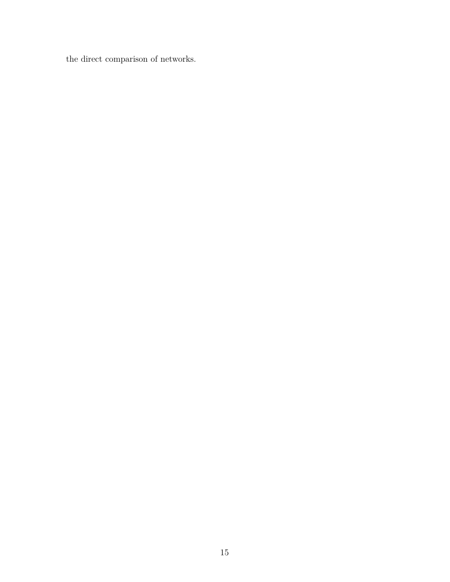the direct comparison of networks.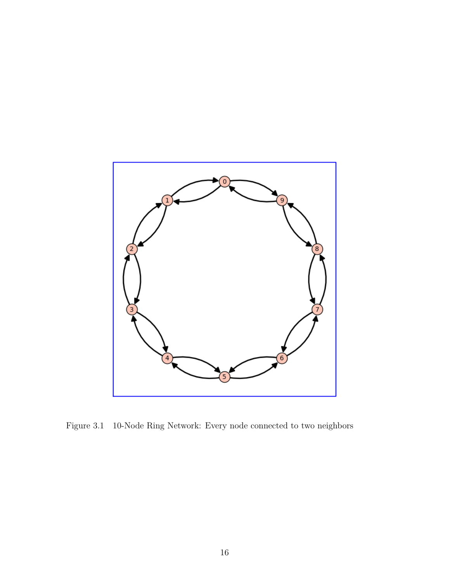

Figure 3.1 10-Node Ring Network: Every node connected to two neighbors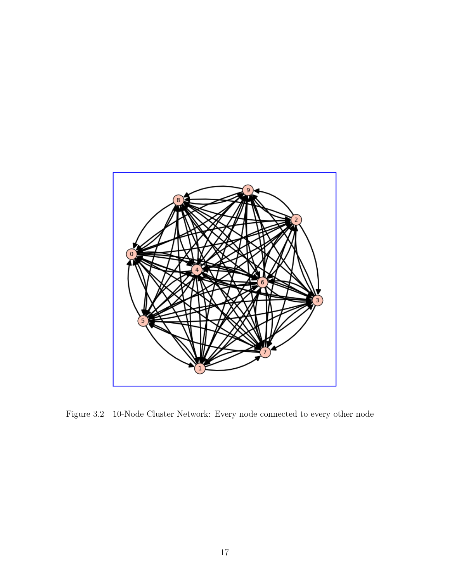

Figure 3.2 10-Node Cluster Network: Every node connected to every other node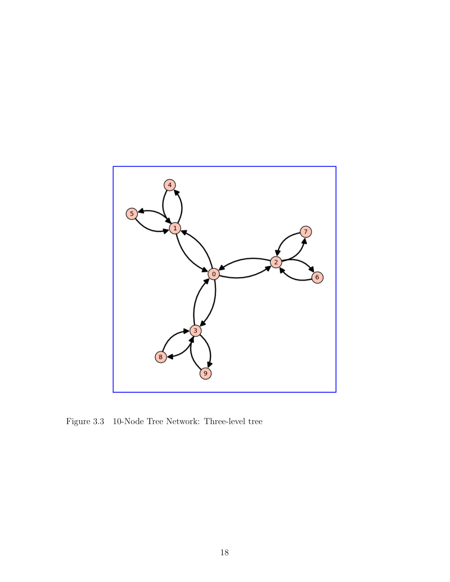

Figure 3.3 10-Node Tree Network: Three-level tree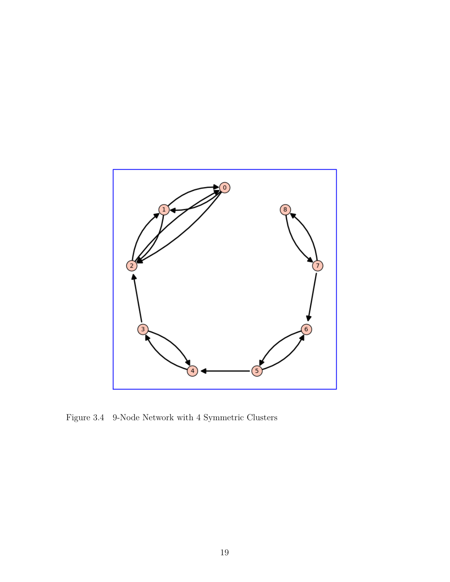

Figure 3.4 9-Node Network with 4 Symmetric Clusters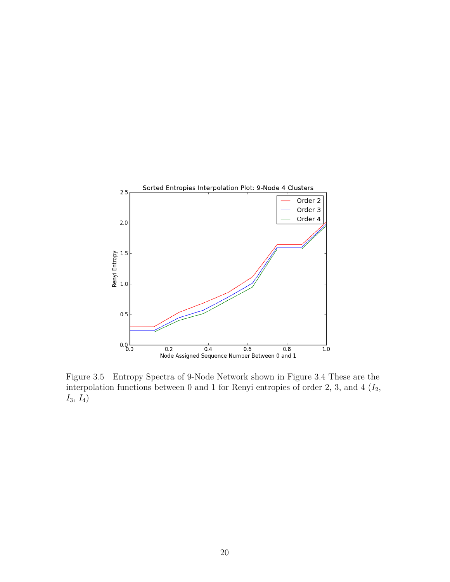

Figure 3.5 Entropy Spectra of 9-Node Network shown in Figure 3.4 These are the interpolation functions between 0 and 1 for Renyi entropies of order 2, 3, and  $4$   $(I_2, I_3)$ *I*3, *I*4)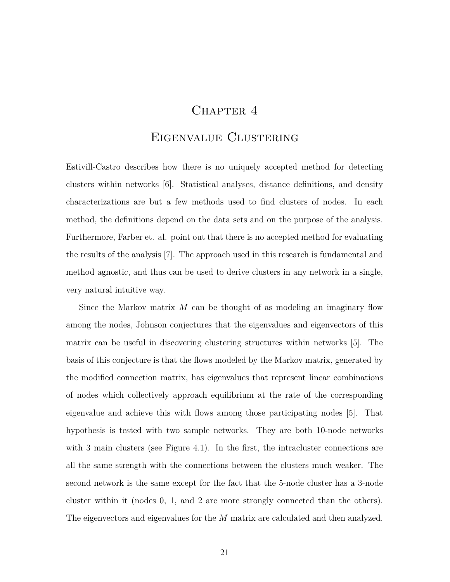## CHAPTER 4

#### Eigenvalue Clustering

Estivill-Castro describes how there is no uniquely accepted method for detecting clusters within networks [6]. Statistical analyses, distance definitions, and density characterizations are but a few methods used to find clusters of nodes. In each method, the definitions depend on the data sets and on the purpose of the analysis. Furthermore, Farber et. al. point out that there is no accepted method for evaluating the results of the analysis [7]. The approach used in this research is fundamental and method agnostic, and thus can be used to derive clusters in any network in a single, very natural intuitive way.

Since the Markov matrix *M* can be thought of as modeling an imaginary flow among the nodes, Johnson conjectures that the eigenvalues and eigenvectors of this matrix can be useful in discovering clustering structures within networks [5]. The basis of this conjecture is that the flows modeled by the Markov matrix, generated by the modified connection matrix, has eigenvalues that represent linear combinations of nodes which collectively approach equilibrium at the rate of the corresponding eigenvalue and achieve this with flows among those participating nodes [5]. That hypothesis is tested with two sample networks. They are both 10-node networks with 3 main clusters (see Figure 4.1). In the first, the intracluster connections are all the same strength with the connections between the clusters much weaker. The second network is the same except for the fact that the 5-node cluster has a 3-node cluster within it (nodes 0, 1, and 2 are more strongly connected than the others). The eigenvectors and eigenvalues for the *M* matrix are calculated and then analyzed.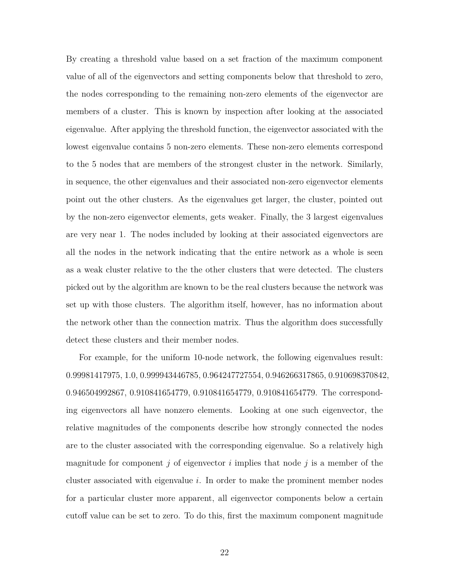By creating a threshold value based on a set fraction of the maximum component value of all of the eigenvectors and setting components below that threshold to zero, the nodes corresponding to the remaining non-zero elements of the eigenvector are members of a cluster. This is known by inspection after looking at the associated eigenvalue. After applying the threshold function, the eigenvector associated with the lowest eigenvalue contains 5 non-zero elements. These non-zero elements correspond to the 5 nodes that are members of the strongest cluster in the network. Similarly, in sequence, the other eigenvalues and their associated non-zero eigenvector elements point out the other clusters. As the eigenvalues get larger, the cluster, pointed out by the non-zero eigenvector elements, gets weaker. Finally, the 3 largest eigenvalues are very near 1. The nodes included by looking at their associated eigenvectors are all the nodes in the network indicating that the entire network as a whole is seen as a weak cluster relative to the the other clusters that were detected. The clusters picked out by the algorithm are known to be the real clusters because the network was set up with those clusters. The algorithm itself, however, has no information about the network other than the connection matrix. Thus the algorithm does successfully detect these clusters and their member nodes.

For example, for the uniform 10-node network, the following eigenvalues result: 0.99981417975, 1.0, 0.999943446785, 0.964247727554, 0.946266317865, 0.910698370842, 0.946504992867, 0.910841654779, 0.910841654779, 0.910841654779. The corresponding eigenvectors all have nonzero elements. Looking at one such eigenvector, the relative magnitudes of the components describe how strongly connected the nodes are to the cluster associated with the corresponding eigenvalue. So a relatively high magnitude for component *j* of eigenvector *i* implies that node *j* is a member of the cluster associated with eigenvalue *i*. In order to make the prominent member nodes for a particular cluster more apparent, all eigenvector components below a certain cutoff value can be set to zero. To do this, first the maximum component magnitude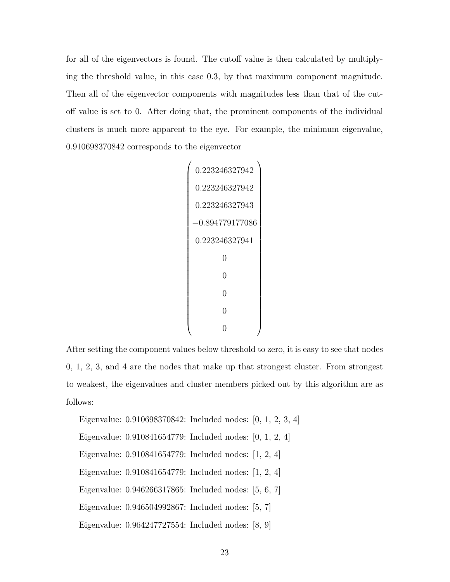for all of the eigenvectors is found. The cutoff value is then calculated by multiplying the threshold value, in this case 0*.*3, by that maximum component magnitude. Then all of the eigenvector components with magnitudes less than that of the cutoff value is set to 0. After doing that, the prominent components of the individual clusters is much more apparent to the eye. For example, the minimum eigenvalue, 0.910698370842 corresponds to the eigenvector

```

0.223246327942

   0.223246327942
   0.223246327943
  −0.894779177086
   0.223246327941
            0
            0
            \overline{0}\overline{0}0
                        \setminus
```
After setting the component values below threshold to zero, it is easy to see that nodes 0, 1, 2, 3, and 4 are the nodes that make up that strongest cluster. From strongest to weakest, the eigenvalues and cluster members picked out by this algorithm are as follows:

Eigenvalue: 0.910698370842: Included nodes: [0, 1, 2, 3, 4]

Eigenvalue: 0.910841654779: Included nodes: [0, 1, 2, 4]

Eigenvalue: 0.910841654779: Included nodes: [1, 2, 4]

Eigenvalue: 0.910841654779: Included nodes: [1, 2, 4]

Eigenvalue: 0.946266317865: Included nodes: [5, 6, 7]

Eigenvalue: 0.946504992867: Included nodes: [5, 7]

Eigenvalue: 0.964247727554: Included nodes: [8, 9]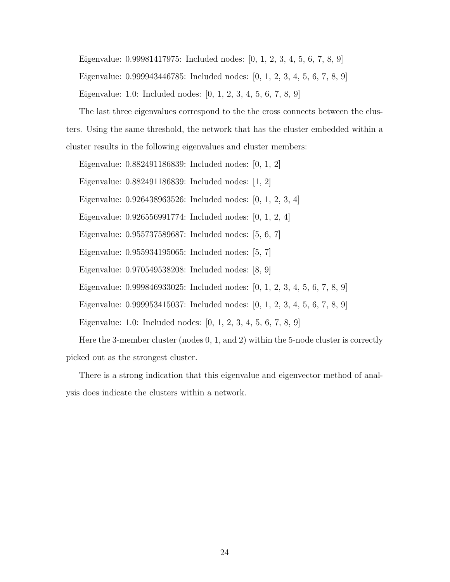Eigenvalue: 0.99981417975: Included nodes: [0, 1, 2, 3, 4, 5, 6, 7, 8, 9]

Eigenvalue: 0.999943446785: Included nodes: [0, 1, 2, 3, 4, 5, 6, 7, 8, 9]

Eigenvalue: 1.0: Included nodes: [0, 1, 2, 3, 4, 5, 6, 7, 8, 9]

The last three eigenvalues correspond to the the cross connects between the clusters. Using the same threshold, the network that has the cluster embedded within a cluster results in the following eigenvalues and cluster members:

Eigenvalue: 0.882491186839: Included nodes: [0, 1, 2]

Eigenvalue: 0.882491186839: Included nodes: [1, 2]

Eigenvalue: 0.926438963526: Included nodes: [0, 1, 2, 3, 4]

Eigenvalue: 0.926556991774: Included nodes: [0, 1, 2, 4]

Eigenvalue: 0.955737589687: Included nodes: [5, 6, 7]

Eigenvalue: 0.955934195065: Included nodes: [5, 7]

Eigenvalue: 0.970549538208: Included nodes: [8, 9]

Eigenvalue: 0.999846933025: Included nodes: [0, 1, 2, 3, 4, 5, 6, 7, 8, 9]

Eigenvalue: 0.999953415037: Included nodes: [0, 1, 2, 3, 4, 5, 6, 7, 8, 9]

Eigenvalue: 1.0: Included nodes: [0, 1, 2, 3, 4, 5, 6, 7, 8, 9]

Here the 3-member cluster (nodes 0, 1, and 2) within the 5-node cluster is correctly picked out as the strongest cluster.

There is a strong indication that this eigenvalue and eigenvector method of analysis does indicate the clusters within a network.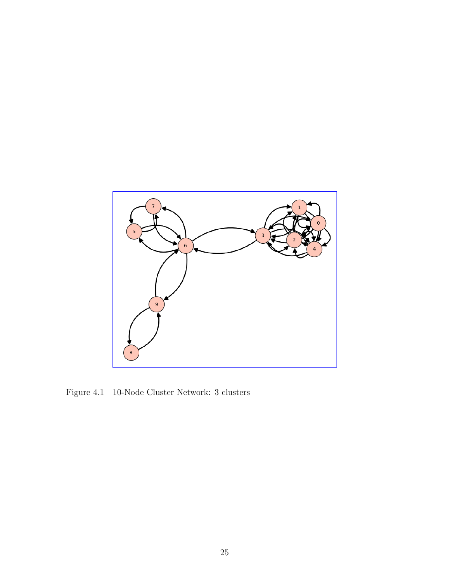

Figure 4.1 10-Node Cluster Network: 3 clusters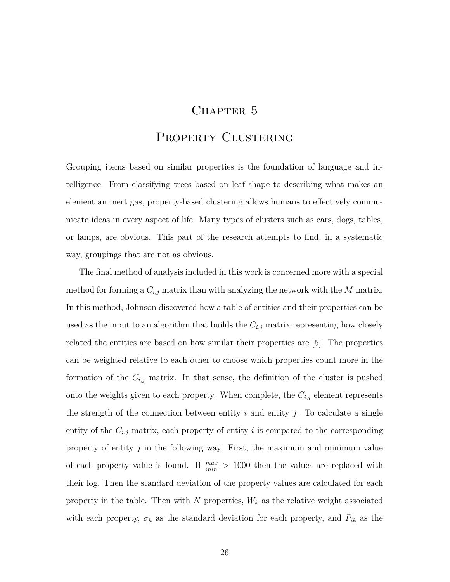## CHAPTER 5

#### PROPERTY CLUSTERING

Grouping items based on similar properties is the foundation of language and intelligence. From classifying trees based on leaf shape to describing what makes an element an inert gas, property-based clustering allows humans to effectively communicate ideas in every aspect of life. Many types of clusters such as cars, dogs, tables, or lamps, are obvious. This part of the research attempts to find, in a systematic way, groupings that are not as obvious.

The final method of analysis included in this work is concerned more with a special method for forming a  $C_{i,j}$  matrix than with analyzing the network with the  $M$  matrix. In this method, Johnson discovered how a table of entities and their properties can be used as the input to an algorithm that builds the  $C_{i,j}$  matrix representing how closely related the entities are based on how similar their properties are [5]. The properties can be weighted relative to each other to choose which properties count more in the formation of the  $C_{i,j}$  matrix. In that sense, the definition of the cluster is pushed onto the weights given to each property. When complete, the  $C_{i,j}$  element represents the strength of the connection between entity  $i$  and entity  $j$ . To calculate a single entity of the  $C_{i,j}$  matrix, each property of entity *i* is compared to the corresponding property of entity *j* in the following way. First, the maximum and minimum value of each property value is found. If  $\frac{max}{min} > 1000$  then the values are replaced with their log. Then the standard deviation of the property values are calculated for each property in the table. Then with  $N$  properties,  $W_k$  as the relative weight associated with each property,  $\sigma_k$  as the standard deviation for each property, and  $P_{ik}$  as the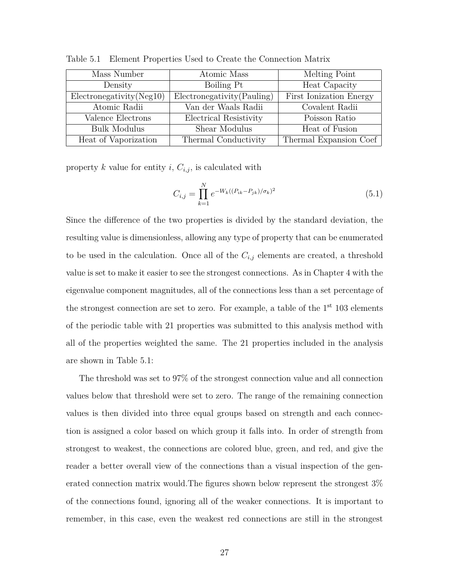| Mass Number                  | Atomic Mass                 | Melting Point           |
|------------------------------|-----------------------------|-------------------------|
| Density                      | Boiling Pt                  | Heat Capacity           |
| $Electron$ egativity (Neg10) | Electronegativity (Pauling) | First Ionization Energy |
| Atomic Radii                 | Van der Waals Radii         | Covalent Radii          |
| Valence Electrons            | Electrical Resistivity      | Poisson Ratio           |
| <b>Bulk Modulus</b>          | Shear Modulus               | Heat of Fusion          |
| Heat of Vaporization         | Thermal Conductivity        | Thermal Expansion Coef  |

Table 5.1 Element Properties Used to Create the Connection Matrix

property  $k$  value for entity  $i$ ,  $C_{i,j}$ , is calculated with

$$
C_{i,j} = \prod_{k=1}^{N} e^{-W_k((P_{ik} - P_{jk})/\sigma_k)^2}
$$
\n(5.1)

Since the difference of the two properties is divided by the standard deviation, the resulting value is dimensionless, allowing any type of property that can be enumerated to be used in the calculation. Once all of the  $C_{i,j}$  elements are created, a threshold value is set to make it easier to see the strongest connections. As in Chapter 4 with the eigenvalue component magnitudes, all of the connections less than a set percentage of the strongest connection are set to zero. For example, a table of the  $1<sup>st</sup> 103$  elements of the periodic table with 21 properties was submitted to this analysis method with all of the properties weighted the same. The 21 properties included in the analysis are shown in Table 5.1:

The threshold was set to 97% of the strongest connection value and all connection values below that threshold were set to zero. The range of the remaining connection values is then divided into three equal groups based on strength and each connection is assigned a color based on which group it falls into. In order of strength from strongest to weakest, the connections are colored blue, green, and red, and give the reader a better overall view of the connections than a visual inspection of the generated connection matrix would.The figures shown below represent the strongest 3% of the connections found, ignoring all of the weaker connections. It is important to remember, in this case, even the weakest red connections are still in the strongest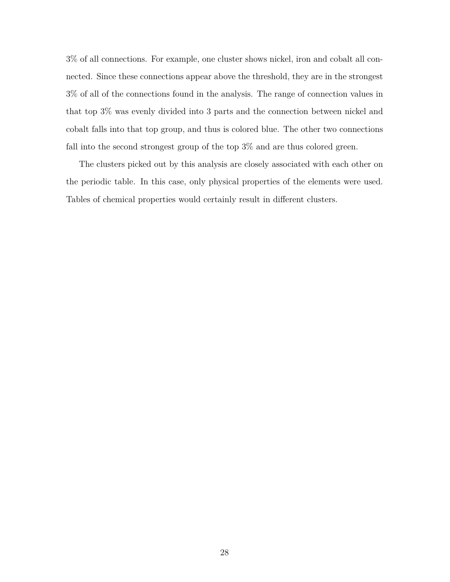3% of all connections. For example, one cluster shows nickel, iron and cobalt all connected. Since these connections appear above the threshold, they are in the strongest 3% of all of the connections found in the analysis. The range of connection values in that top 3% was evenly divided into 3 parts and the connection between nickel and cobalt falls into that top group, and thus is colored blue. The other two connections fall into the second strongest group of the top 3% and are thus colored green.

The clusters picked out by this analysis are closely associated with each other on the periodic table. In this case, only physical properties of the elements were used. Tables of chemical properties would certainly result in different clusters.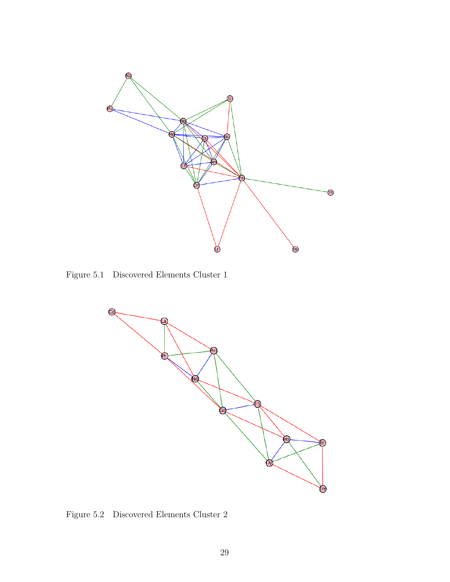

Figure 5.1 Discovered Elements Cluster 1



Figure 5.2 Discovered Elements Cluster 2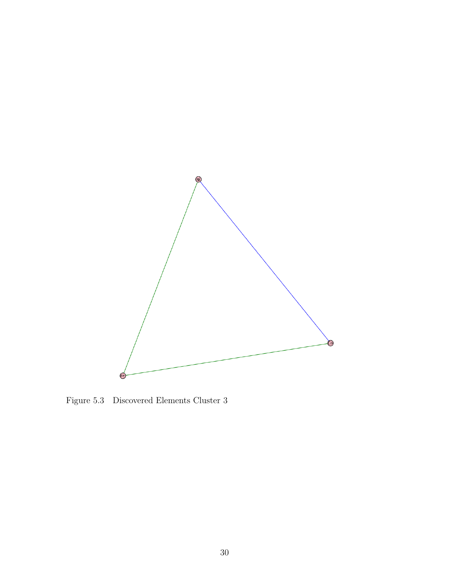

Figure 5.3 Discovered Elements Cluster 3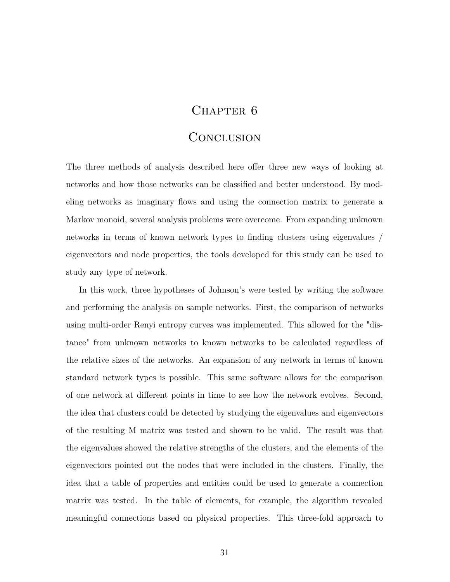#### CHAPTER 6

#### **CONCLUSION**

The three methods of analysis described here offer three new ways of looking at networks and how those networks can be classified and better understood. By modeling networks as imaginary flows and using the connection matrix to generate a Markov monoid, several analysis problems were overcome. From expanding unknown networks in terms of known network types to finding clusters using eigenvalues / eigenvectors and node properties, the tools developed for this study can be used to study any type of network.

In this work, three hypotheses of Johnson's were tested by writing the software and performing the analysis on sample networks. First, the comparison of networks using multi-order Renyi entropy curves was implemented. This allowed for the "distance" from unknown networks to known networks to be calculated regardless of the relative sizes of the networks. An expansion of any network in terms of known standard network types is possible. This same software allows for the comparison of one network at different points in time to see how the network evolves. Second, the idea that clusters could be detected by studying the eigenvalues and eigenvectors of the resulting M matrix was tested and shown to be valid. The result was that the eigenvalues showed the relative strengths of the clusters, and the elements of the eigenvectors pointed out the nodes that were included in the clusters. Finally, the idea that a table of properties and entities could be used to generate a connection matrix was tested. In the table of elements, for example, the algorithm revealed meaningful connections based on physical properties. This three-fold approach to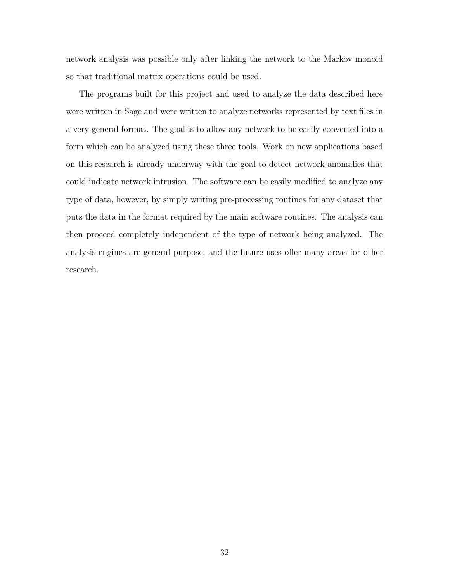network analysis was possible only after linking the network to the Markov monoid so that traditional matrix operations could be used.

The programs built for this project and used to analyze the data described here were written in Sage and were written to analyze networks represented by text files in a very general format. The goal is to allow any network to be easily converted into a form which can be analyzed using these three tools. Work on new applications based on this research is already underway with the goal to detect network anomalies that could indicate network intrusion. The software can be easily modified to analyze any type of data, however, by simply writing pre-processing routines for any dataset that puts the data in the format required by the main software routines. The analysis can then proceed completely independent of the type of network being analyzed. The analysis engines are general purpose, and the future uses offer many areas for other research.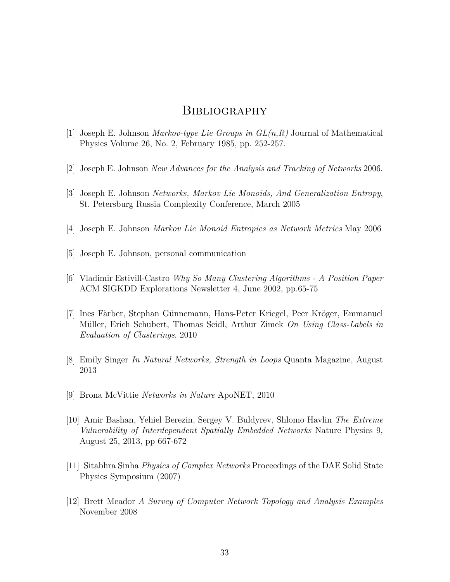#### **BIBLIOGRAPHY**

- [1] Joseph E. Johnson *Markov-type Lie Groups in GL(n,R)* Journal of Mathematical Physics Volume 26, No. 2, February 1985, pp. 252-257.
- [2] Joseph E. Johnson *New Advances for the Analysis and Tracking of Networks* 2006.
- [3] Joseph E. Johnson *Networks, Markov Lie Monoids, And Generalization Entropy*, St. Petersburg Russia Complexity Conference, March 2005
- [4] Joseph E. Johnson *Markov Lie Monoid Entropies as Network Metrics* May 2006
- [5] Joseph E. Johnson, personal communication
- [6] Vladimir Estivill-Castro *Why So Many Clustering Algorithms A Position Paper* ACM SIGKDD Explorations Newsletter 4, June 2002, pp.65-75
- [7] Ines Färber, Stephan Günnemann, Hans-Peter Kriegel, Peer Kröger, Emmanuel Müller, Erich Schubert, Thomas Seidl, Arthur Zimek *On Using Class-Labels in Evaluation of Clusterings*, 2010
- [8] Emily Singer *In Natural Networks, Strength in Loops* Quanta Magazine, August 2013
- [9] Brona McVittie *Networks in Nature* ApoNET, 2010
- [10] Amir Bashan, Yehiel Berezin, Sergey V. Buldyrev, Shlomo Havlin *The Extreme Vulnerability of Interdependent Spatially Embedded Networks* Nature Physics 9, August 25, 2013, pp 667-672
- [11] Sitabhra Sinha *Physics of Complex Networks* Proceedings of the DAE Solid State Physics Symposium (2007)
- [12] Brett Meador *A Survey of Computer Network Topology and Analysis Examples* November 2008